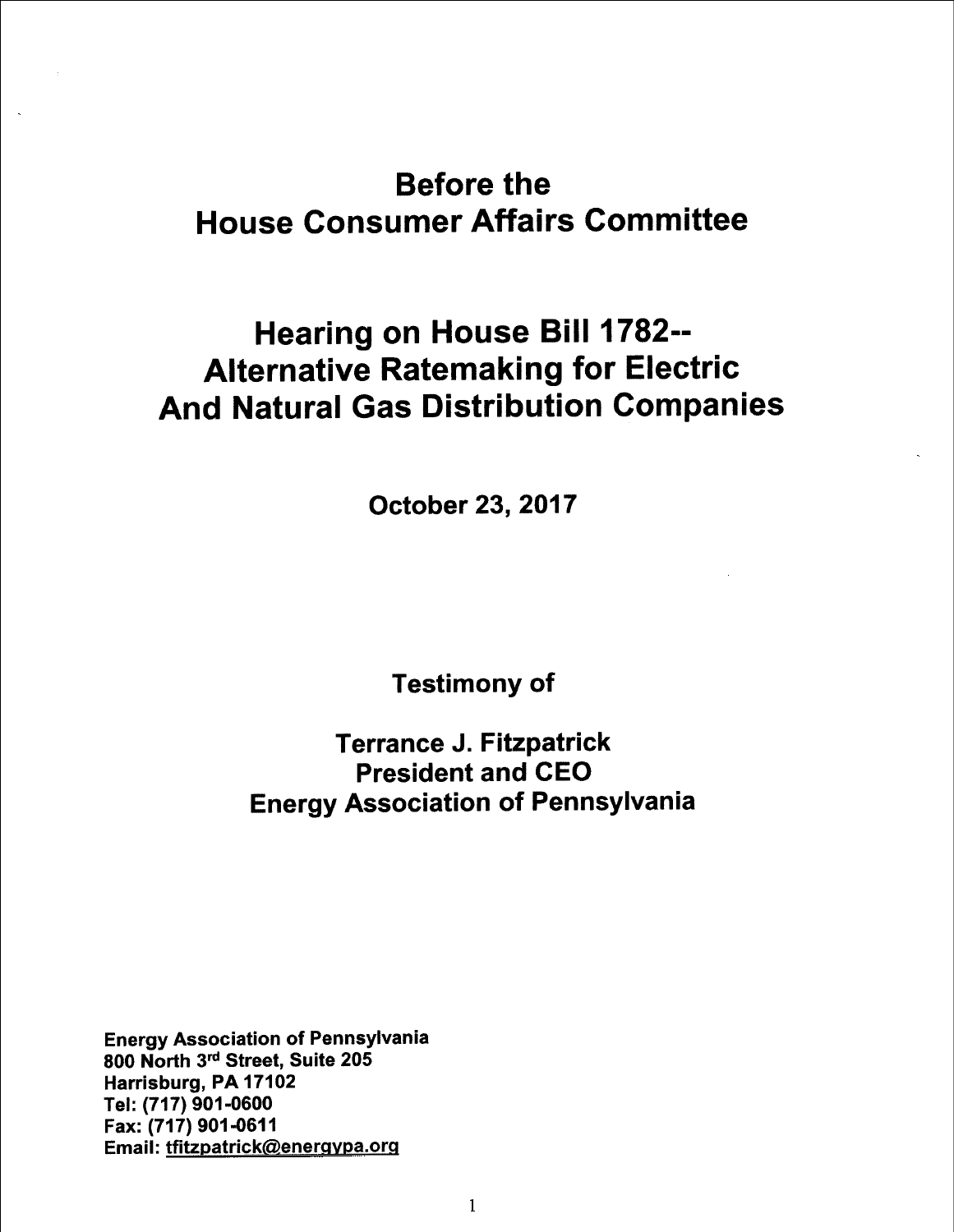## Before the **House Consumer Affairs Committee**

## Hearing on House Bill 1782-- Alternative Ratemaking for Electric And Natural Gas Distribution Companies

October 23, 2017

Testimony of

## Terrance J. Fitzpatrick President and CEO Energy Association of Pennsylvania

Energy Association of Pennsylvania 800 North 3'd Street, Suite 205 Harrisburg, PA 17102 Tel: (717) 901-0600 Fax: (717) 901 -061 1 Email: tfitzpatrick@energypa.org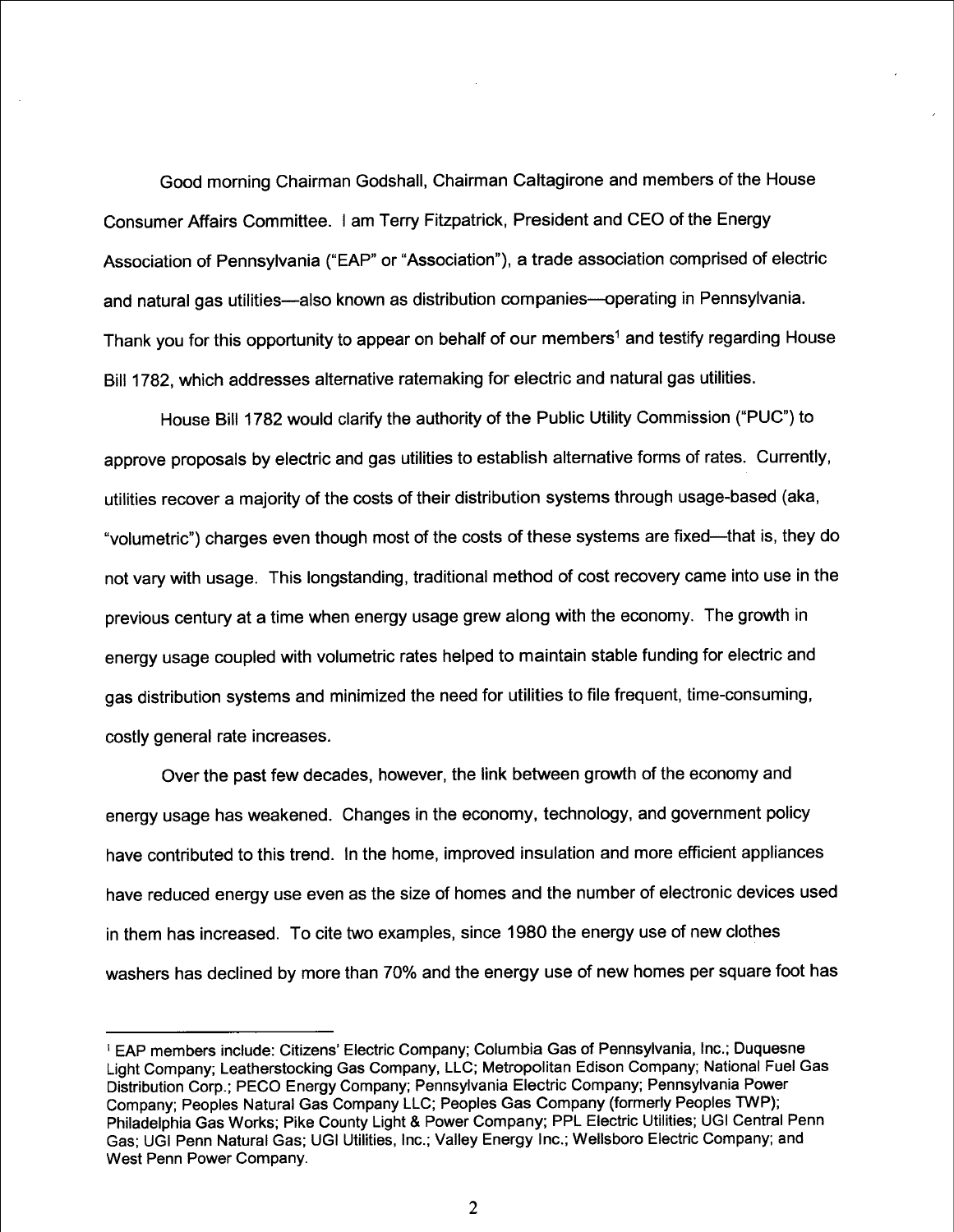Good morning Chairman Godshall, Chairman Caltagirone and members of the House Consumer Affairs Committee. I am Terry Fitzpatrick. President and CEO of the Energy Association of Pennsylvania ("EAP" or "Association"), a trade association comprised of electric and natural gas utilities-also known as distribution companies-operating in Pennsylvania. Thank you for this opportunity to appear on behalf of our members<sup>1</sup> and testify regarding House Bill 1782, which addresses alternative ratemaking for electric and natural gas utilities.

House Bill 1 782 would clarify the authority of the Public Utility Commission ("PUC") to approve proposals by electric and gas utilities to establish alternative forms of rates. Currently. utilities recover a majority of the costs of their distribution systems through usage-based (aka, "volumetric") charges even though most of the costs of these systems are fixed--that is, they do not vary with usage. This longstanding. traditional method of cost recovery came into use in the previous century at a time when energy usage grew along with the economy. The growth in energy usage coupled with volumetric rates helped to maintain stable funding for electric and gas distribution systems and minimized the need for utilities to file frequent, time-consuming. costly general rate increases.

Over the past few decades, however, the link between growth of the economy and energy usage has weakened. Changes in the economy, technology, and government policy have contributed to this trend. In the home, improved insulation and more efficient appliances have reduced energy use even as the size of homes and the number of electronic devices used in them has increased. To cite two examples, since 1 980 the energy use of new clothes washers has declined by more than 70% and the energy use of new homes per square foot has

<sup>&</sup>lt;sup>1</sup> EAP members include: Citizens' Electric Company; Columbia Gas of Pennsylvania, Inc.; Duquesne Light Company; Leatherstocking Gas Company, LLC; Metropolitan Edison Company; National Fuel Gas Distribution Corp.; PECO Energy Company; Pennsylvania Electric Company; Pennsylvania Power Company; Peoples Natural Gas Company LLC; Peoples Gas Company (formerly Peoples TWP); Philadelphia Gas Works; Pike County Light & Power Company; PPL Electric Utilities; UGI Central Penn Gas; UGI Penn Natural Gas; UGI Utilities, Inc.; Valley Energy Inc.; Wellsboro Electric Company; and West Penn Power Company.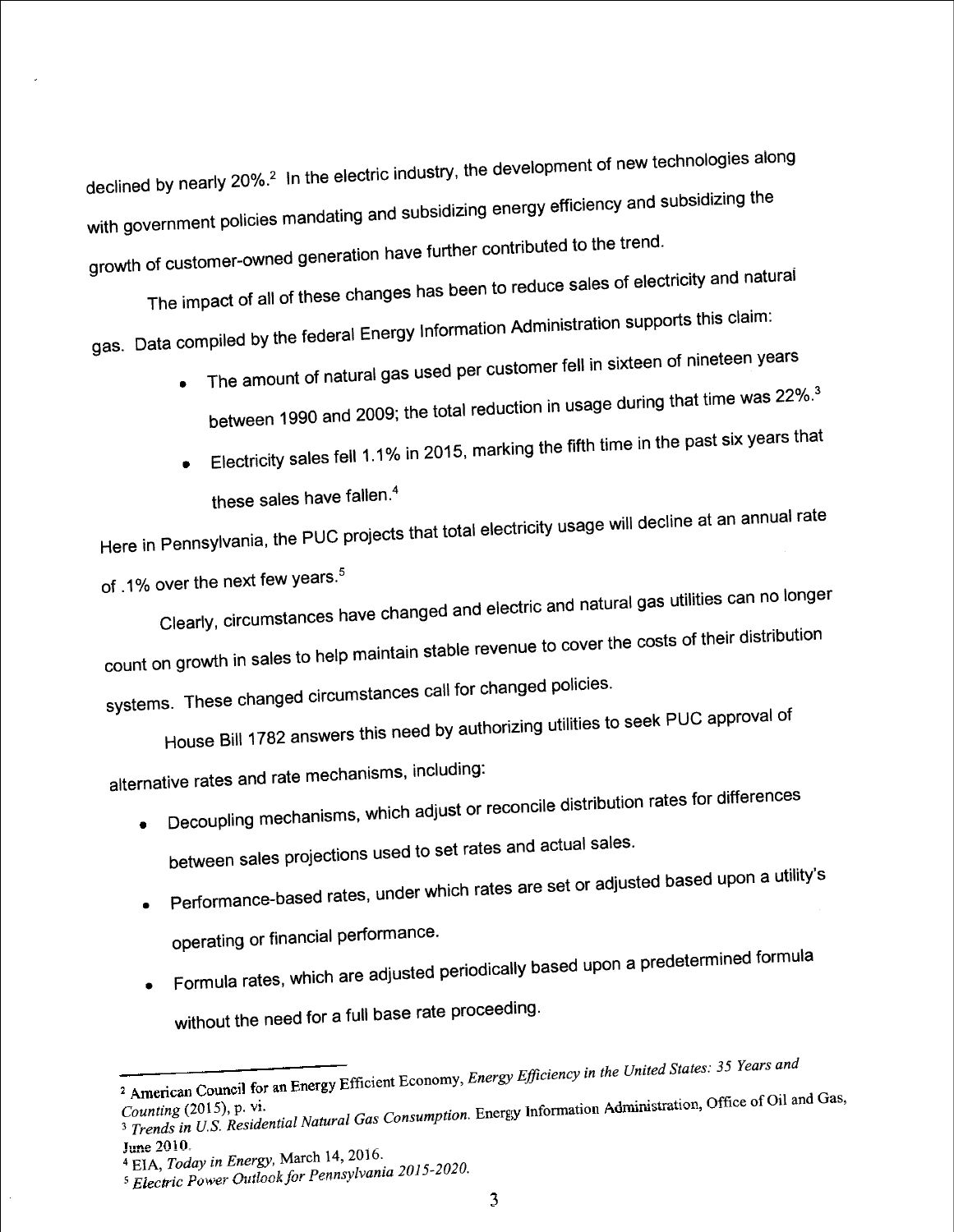declined by nearly 20%.<sup>2</sup> In the electric industry, the development of new technologies along with government policies mandating and subsidizing energy efficiency and subsidizing the growth of customer-owned generation have further contributed to the trend.

The impact of all of these changes has been to reduce sales of electricity and natural gas. Data compiled by the federal Energy Information Administration supports this claim:

- The amount of natural gas used per customer fell in sixteen of nineteen years between 1990 and 2009; the total reduction in usage during that time was 22%.<sup>3</sup>
- Electricity sales fell 1.1% in 2015, marking the fifth time in the past six years that  $\bullet$ these sales have fallen.<sup>4</sup>

Here in Pennsylvania, the PUC projects that total electricity usage will decline at an annual rate of .1% over the next few years.<sup>5</sup>

Clearly, circumstances have changed and electric and natural gas utilities can no longer count on growth in sales to help maintain stable revenue to cover the costs of their distribution systems. These changed circumstances call for changed policies.

House Bill 1782 answers this need by authorizing utilities to seek PUC approval of alternative rates and rate mechanisms, including:

Decoupling mechanisms, which adjust or reconcile distribution rates for differences

between sales projections used to set rates and actual sales.

Performance-based rates, under which rates are set or adjusted based upon a utility's

operating or financial performance.

- Formula rates, which are adjusted periodically based upon a predetermined formula
- without the need for a full base rate proceeding.

<sup>&</sup>lt;sup>2</sup> American Council for an Energy Efficient Economy, Energy Efficiency in the United States: 35 Years and

Serving (Fig. 2), Fig. 2), Theorem Service Consumption. Energy Information Administration, Office of Oil and Gas, 3 Trends in U.S. Residential Natural Gas Consumption. Energy Information Administration, Office of Oil and G

June 2010.

<sup>&</sup>lt;sup>4</sup> EIA, Today in Energy, March 14, 2016. <sup>5</sup> Electric Power Outlook for Pennsylvania 2015-2020.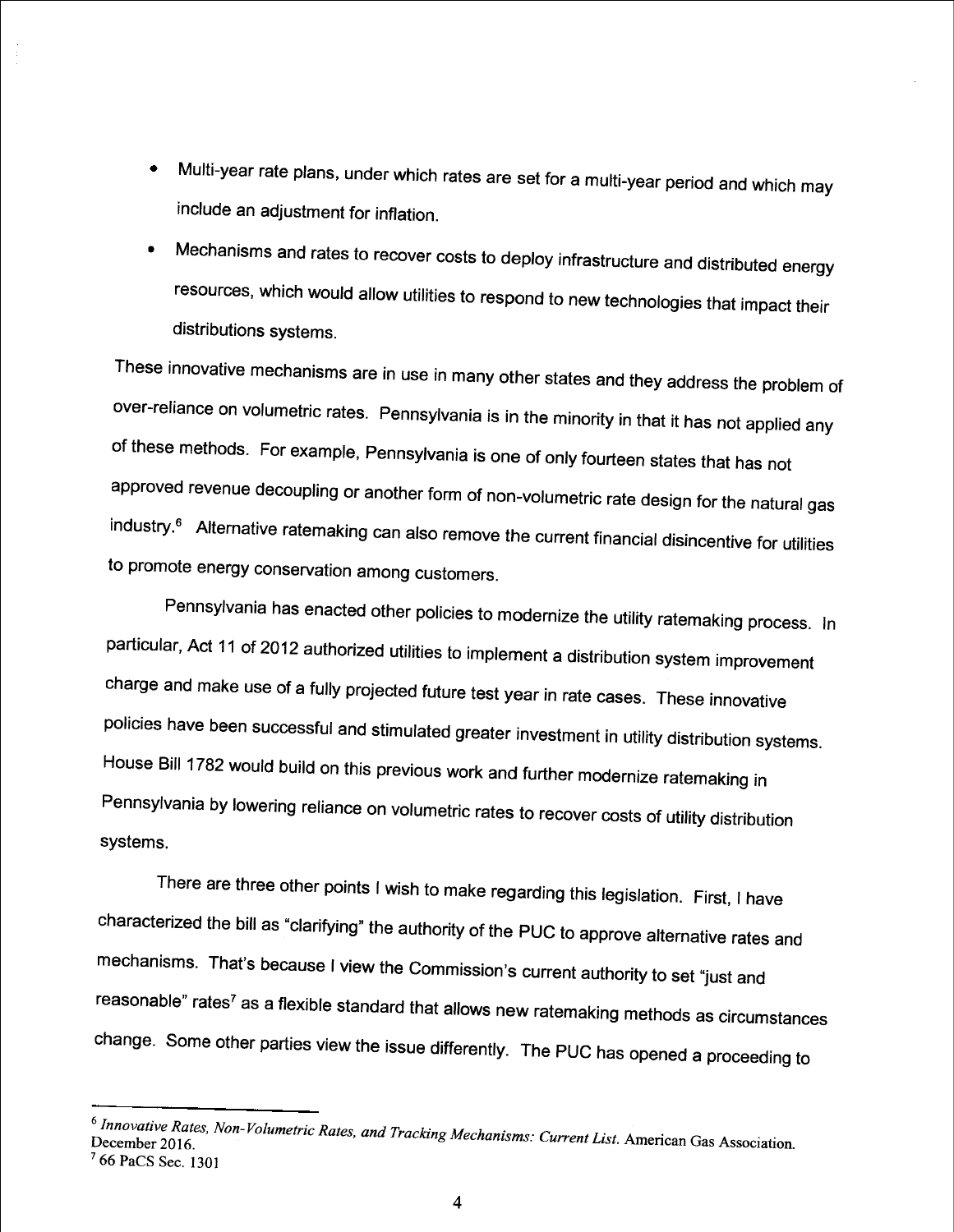- include an adjustment for inflation. Multi-year rate plans, under which rates are set for a multi-year period and which may
- Mechanisms and rates to recover costs to deploy infrastructure and distributed energy resources, which would allow utilities to respond to new technologies that impact their distributions systems.

These innovative mechanisms are in use in many other states and they address the problem of over-reliance on volumetric rates. Pennsylvania is in the minority in that it has not applied any of these methods. For example, Pennsylvania is one of only fourteen states that has not approved revenue decoupling or another form of non-volumetric rate design for the natural gas industry.<sup>6</sup> Alternative ratemaking can also remove the current financial disincentive for utilities to promote energy conservation among customers.

Pennsylvania has enacted other policies to modernize the utility ratemaking process. In particular, Act 11 of 2012 authorized utilities to implement a distribution system improvement charge and make use of a fully projected future test year in rate cases. These innovative policies have been successful and stimulated greater investment in utility distribution systems. House Bill 1 782 would build on this previous work and further modernize ratemaking in Pennsylvania by lowering reliance on volumetric rates to recover costs of utility distribution systems.

There are three other points I wish to make regarding this legislation. First, I have characterized the bill as "clarifying" the authority of the PUC to approve alternative rates and mechanisms. That's because I view the Commission's current authority to set "just and  $r$ easonable" rates<sup>7</sup> as a flexible standard that allows new ratemaking methods as circumstances change. Some other parties view the issue differently. The PUC has opened a proceeding to

 $6$  Innovative Rates, Non-Volumetric Rates, and Tracking Mechanisms: Current List. American Gas Association. 7 66 PaCS Sec. 130]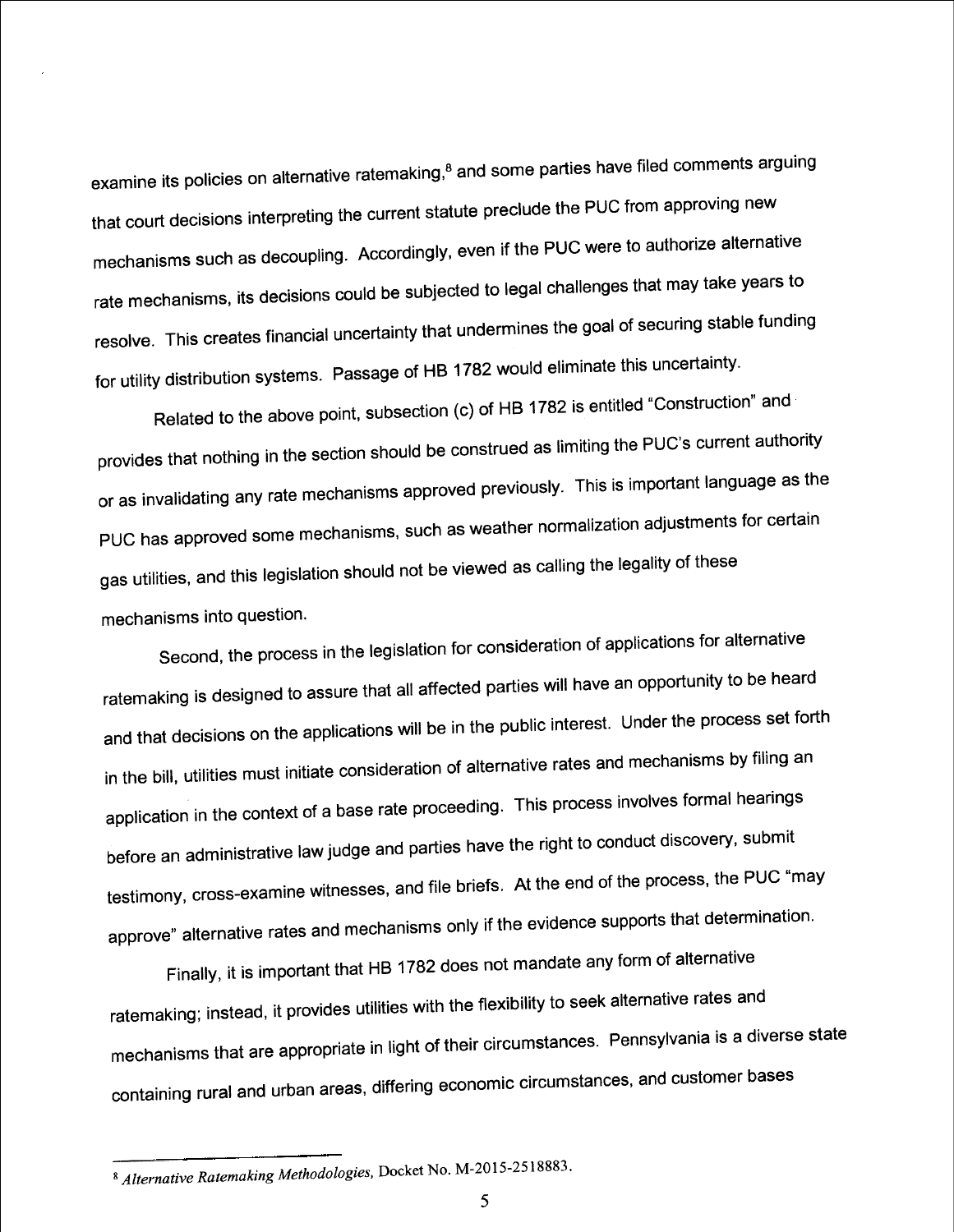examine its policies on alternative ratemaking,<sup>8</sup> and some parties have filed comments arguing that court decisions interpreting the current statute preclude the PUC from approving new mechanisms such as decoupling. Accordingly, even if the PUC were to authorize alternative rate mechanisms, its decisions could be subjected to legal challenges that may take years to resolve. This creates financial uncertainty that undermines the goal of securing stable funding for utility distribution systems. Passage of HB 1 782 would eliminate this uncertainty.

Related to the above point, subsection (c) of HB 1782 is entitled "Construction" and provides that nothing in the section should be construed as limiting the PUC's current authority or as invalidating any rate mechanisms approved previously. This is important language as the PUC has approved some mechanisms, such as weather normalization adjustments for certain gas utilities, and this legislation should not be viewed as calling the legality of these mechanisms into question.

Second, the process in the legislation for consideration of applications for alternative ratemaking is designed to assure that all affected parties will have an opportunity to be heard and that decisions on the applications will be in the public interest. Under the process set forth in the bill, utilities must initiate consideration of alternative rates and mechanisms by filing an application in the context of a base rate proceeding. This process involves formal hearings before an administrative law judge and parties have the right to conduct discovery, submit testimony, cross-examine witnesses, and file briefs. At the end of the process, the PUC "may approve" alternative rates and mechanisms only if the evidence supports that determination.

Finally, it is important that HB 1 782 does not mandate any form of alternative ratemaking; instead, it provides utilities with the flexibility to seek alternative rates and mechanisms that are appropriate in light of their circumstances. Pennsylvania is a diverse state containing rural and urban areas, differing economic circumstances, and customer bases

<sup>8</sup> Alternative Ratemaking Methodologies, Docket No. M-2015-2518883.